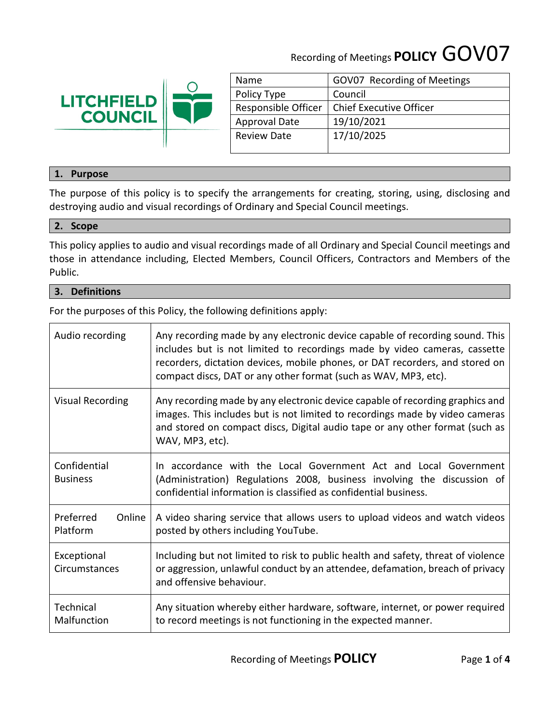# Recording of Meetings **POLICY** GOV07



| Name                 | GOV07 Recording of Meetings    |
|----------------------|--------------------------------|
| Policy Type          | Council                        |
| Responsible Officer  | <b>Chief Executive Officer</b> |
| <b>Approval Date</b> | 19/10/2021                     |
| <b>Review Date</b>   | 17/10/2025                     |
|                      |                                |

## **1. Purpose**

The purpose of this policy is to specify the arrangements for creating, storing, using, disclosing and destroying audio and visual recordings of Ordinary and Special Council meetings.

## **2. Scope**

This policy applies to audio and visual recordings made of all Ordinary and Special Council meetings and those in attendance including, Elected Members, Council Officers, Contractors and Members of the Public.

## **3. Definitions**

For the purposes of this Policy, the following definitions apply:

| Audio recording                 | Any recording made by any electronic device capable of recording sound. This<br>includes but is not limited to recordings made by video cameras, cassette<br>recorders, dictation devices, mobile phones, or DAT recorders, and stored on<br>compact discs, DAT or any other format (such as WAV, MP3, etc). |
|---------------------------------|--------------------------------------------------------------------------------------------------------------------------------------------------------------------------------------------------------------------------------------------------------------------------------------------------------------|
| <b>Visual Recording</b>         | Any recording made by any electronic device capable of recording graphics and<br>images. This includes but is not limited to recordings made by video cameras<br>and stored on compact discs, Digital audio tape or any other format (such as<br>WAV, MP3, etc).                                             |
| Confidential<br><b>Business</b> | In accordance with the Local Government Act and Local Government<br>(Administration) Regulations 2008, business involving the discussion of<br>confidential information is classified as confidential business.                                                                                              |
| Preferred<br>Online<br>Platform | A video sharing service that allows users to upload videos and watch videos<br>posted by others including YouTube.                                                                                                                                                                                           |
| Exceptional<br>Circumstances    | Including but not limited to risk to public health and safety, threat of violence<br>or aggression, unlawful conduct by an attendee, defamation, breach of privacy<br>and offensive behaviour.                                                                                                               |
| Technical<br>Malfunction        | Any situation whereby either hardware, software, internet, or power required<br>to record meetings is not functioning in the expected manner.                                                                                                                                                                |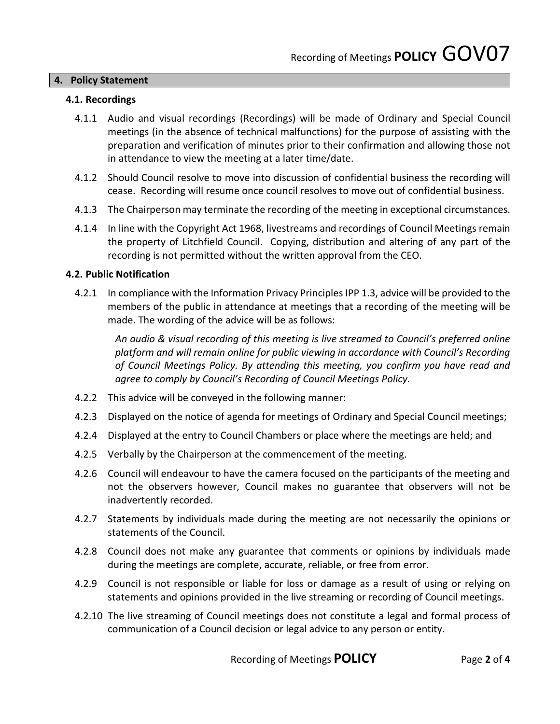## **4. Policy Statement**

## **4.1. Recordings**

- 4.1.1 Audio and visual recordings (Recordings) will be made of Ordinary and Special Council meetings (in the absence of technical malfunctions) for the purpose of assisting with the preparation and verification of minutes prior to their confirmation and allowing those not in attendance to view the meeting at a later time/date.
- 4.1.2 Should Council resolve to move into discussion of confidential business the recording will cease. Recording will resume once council resolves to move out of confidential business.
- 4.1.3 The Chairperson may terminate the recording of the meeting in exceptional circumstances.
- 4.1.4 In line with the Copyright Act 1968, livestreams and recordings of Council Meetings remain the property of Litchfield Council. Copying, distribution and altering of any part of the recording is not permitted without the written approval from the CEO.

## **4.2. Public Notification**

4.2.1 In compliance with the Information Privacy Principles IPP 1.3, advice will be provided to the members of the public in attendance at meetings that a recording of the meeting will be made. The wording of the advice will be as follows:

*An audio & visual recording of this meeting is live streamed to Council's preferred online platform and will remain online for public viewing in accordance with Council's Recording of Council Meetings Policy. By attending this meeting, you confirm you have read and agree to comply by Council's Recording of Council Meetings Policy.* 

- 4.2.2 This advice will be conveyed in the following manner:
- 4.2.3 Displayed on the notice of agenda for meetings of Ordinary and Special Council meetings;
- 4.2.4 Displayed at the entry to Council Chambers or place where the meetings are held; and
- 4.2.5 Verbally by the Chairperson at the commencement of the meeting.
- 4.2.6 Council will endeavour to have the camera focused on the participants of the meeting and not the observers however, Council makes no guarantee that observers will not be inadvertently recorded.
- 4.2.7 Statements by individuals made during the meeting are not necessarily the opinions or statements of the Council.
- 4.2.8 Council does not make any guarantee that comments or opinions by individuals made during the meetings are complete, accurate, reliable, or free from error.
- 4.2.9 Council is not responsible or liable for loss or damage as a result of using or relying on statements and opinions provided in the live streaming or recording of Council meetings.
- 4.2.10 The live streaming of Council meetings does not constitute a legal and formal process of communication of a Council decision or legal advice to any person or entity.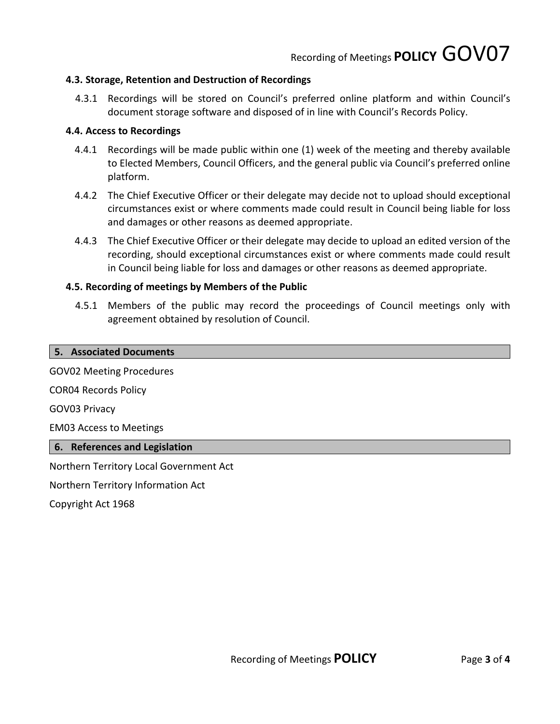## **4.3. Storage, Retention and Destruction of Recordings**

4.3.1 Recordings will be stored on Council's preferred online platform and within Council's document storage software and disposed of in line with Council's Records Policy.

## **4.4. Access to Recordings**

- 4.4.1 Recordings will be made public within one (1) week of the meeting and thereby available to Elected Members, Council Officers, and the general public via Council's preferred online platform.
- 4.4.2 The Chief Executive Officer or their delegate may decide not to upload should exceptional circumstances exist or where comments made could result in Council being liable for loss and damages or other reasons as deemed appropriate.
- 4.4.3 The Chief Executive Officer or their delegate may decide to upload an edited version of the recording, should exceptional circumstances exist or where comments made could result in Council being liable for loss and damages or other reasons as deemed appropriate.

## **4.5. Recording of meetings by Members of the Public**

4.5.1 Members of the public may record the proceedings of Council meetings only with agreement obtained by resolution of Council.

#### **5. Associated Documents**

GOV02 Meeting Procedures

COR04 Records Policy

GOV03 Privacy

EM03 Access to Meetings

## **6. References and Legislation**

Northern Territory Local Government Act

Northern Territory Information Act

Copyright Act 1968